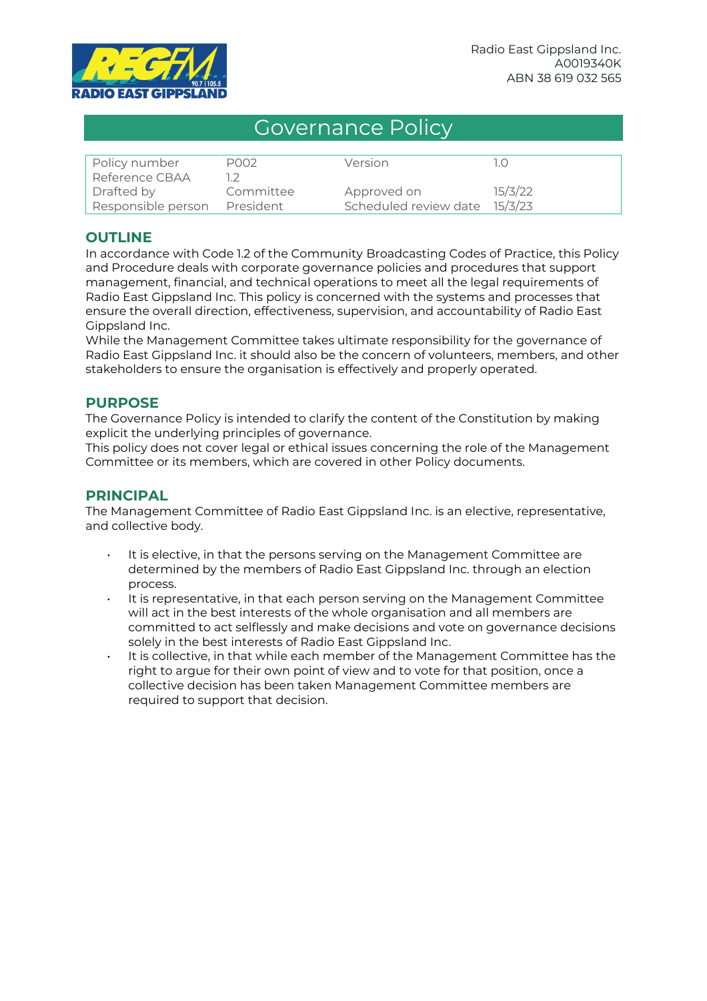

# Governance Policy

| Policy number      | P002      | Version                       |         |
|--------------------|-----------|-------------------------------|---------|
| Reference CBAA     |           |                               |         |
| Drafted by         | Committee | Approved on                   | 15/3/22 |
| Responsible person | President | Scheduled review date 15/3/23 |         |

## **OUTLINE**

In accordance with Code 1.2 of the Community Broadcasting Codes of Practice, this Policy and Procedure deals with corporate governance policies and procedures that support management, financial, and technical operations to meet all the legal requirements of Radio East Gippsland Inc. This policy is concerned with the systems and processes that ensure the overall direction, effectiveness, supervision, and accountability of Radio East Gippsland Inc.

While the Management Committee takes ultimate responsibility for the governance of Radio East Gippsland Inc. it should also be the concern of volunteers, members, and other stakeholders to ensure the organisation is effectively and properly operated.

#### **PURPOSE**

The Governance Policy is intended to clarify the content of the Constitution by making explicit the underlying principles of governance.

This policy does not cover legal or ethical issues concerning the role of the Management Committee or its members, which are covered in other Policy documents.

#### **PRINCIPAL**

The Management Committee of Radio East Gippsland Inc. is an elective, representative, and collective body.

- It is elective, in that the persons serving on the Management Committee are determined by the members of Radio East Gippsland Inc. through an election process.
- It is representative, in that each person serving on the Management Committee will act in the best interests of the whole organisation and all members are committed to act selflessly and make decisions and vote on governance decisions solely in the best interests of Radio East Gippsland Inc.
- It is collective, in that while each member of the Management Committee has the right to argue for their own point of view and to vote for that position, once a collective decision has been taken Management Committee members are required to support that decision.